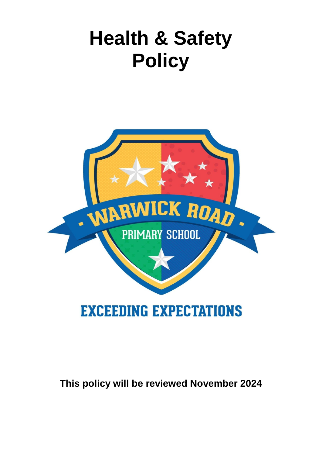# **Health & Safety Policy**



# **EXCEEDING EXPECTATIONS**

# **This policy will be reviewed November 2024**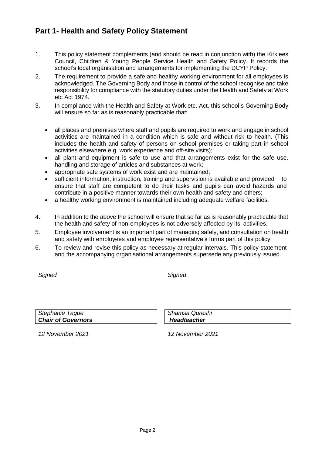### **Part 1- Health and Safety Policy Statement**

- 1. This policy statement complements (and should be read in conjunction with) the Kirklees Council, Children & Young People Service Health and Safety Policy. It records the school's local organisation and arrangements for implementing the DCYP Policy.
- 2. The requirement to provide a safe and healthy working environment for all employees is acknowledged. The Governing Body and those in control of the school recognise and take responsibility for compliance with the statutory duties under the Health and Safety at Work etc Act 1974.
- 3. In compliance with the Health and Safety at Work etc. Act, this school's Governing Body will ensure so far as is reasonably practicable that:
	- all places and premises where staff and pupils are required to work and engage in school activities are maintained in a condition which is safe and without risk to health. (This includes the health and safety of persons on school premises or taking part in school activities elsewhere e.g. work experience and off-site visits);
	- all plant and equipment is safe to use and that arrangements exist for the safe use, handling and storage of articles and substances at work;
	- appropriate safe systems of work exist and are maintained;
	- sufficient information, instruction, training and supervision is available and provided to ensure that staff are competent to do their tasks and pupils can avoid hazards and contribute in a positive manner towards their own health and safety and others;
	- a healthy working environment is maintained including adequate welfare facilities.
- 4. In addition to the above the school will ensure that so far as is reasonably practicable that the health and safety of non-employees is not adversely affected by its' activities.
- 5. Employee involvement is an important part of managing safely, and consultation on health and safety with employees and employee representative's forms part of this policy.
- 6. To review and revise this policy as necessary at regular intervals. This policy statement and the accompanying organisational arrangements supersede any previously issued.

*Signed Signed*

*Stephanie Tague Chair of Governors* *Shamsa Qureshi Headteacher*

*12 November 2021 12 November 2021*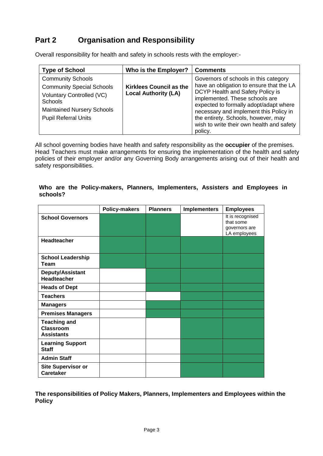# **Part 2 Organisation and Responsibility**

Overall responsibility for health and safety in schools rests with the employer:-

| <b>Type of School</b>                                                                                                                                                           | Who is the Employer?                                          | <b>Comments</b>                                                                                                                                                                                                                                                                                                                            |
|---------------------------------------------------------------------------------------------------------------------------------------------------------------------------------|---------------------------------------------------------------|--------------------------------------------------------------------------------------------------------------------------------------------------------------------------------------------------------------------------------------------------------------------------------------------------------------------------------------------|
| <b>Community Schools</b><br><b>Community Special Schools</b><br>Voluntary Controlled (VC)<br><b>Schools</b><br><b>Maintained Nursery Schools</b><br><b>Pupil Referral Units</b> | <b>Kirklees Council as the</b><br><b>Local Authority (LA)</b> | Governors of schools in this category<br>have an obligation to ensure that the LA<br>DCYP Health and Safety Policy is<br>implemented. These schools are<br>expected to formally adopt/adapt where<br>necessary and implement this Policy in<br>the entirety. Schools, however, may<br>wish to write their own health and safety<br>policy. |

All school governing bodies have health and safety responsibility as the **occupier** of the premises. Head Teachers must make arrangements for ensuring the implementation of the health and safety policies of their employer and/or any Governing Body arrangements arising out of their health and safety responsibilities.

#### **Who are the Policy-makers, Planners, Implementers, Assisters and Employees in schools?**

|                                                              | <b>Policy-makers</b> | <b>Planners</b> | <b>Implementers</b> | <b>Employees</b>                                               |
|--------------------------------------------------------------|----------------------|-----------------|---------------------|----------------------------------------------------------------|
| <b>School Governors</b>                                      |                      |                 |                     | It is recognised<br>that some<br>governors are<br>LA employees |
| <b>Headteacher</b>                                           |                      |                 |                     |                                                                |
| <b>School Leadership</b><br><b>Team</b>                      |                      |                 |                     |                                                                |
| Deputy/Assistant<br><b>Headteacher</b>                       |                      |                 |                     |                                                                |
| <b>Heads of Dept</b>                                         |                      |                 |                     |                                                                |
| <b>Teachers</b>                                              |                      |                 |                     |                                                                |
| <b>Managers</b>                                              |                      |                 |                     |                                                                |
| <b>Premises Managers</b>                                     |                      |                 |                     |                                                                |
| <b>Teaching and</b><br><b>Classroom</b><br><b>Assistants</b> |                      |                 |                     |                                                                |
| <b>Learning Support</b><br><b>Staff</b>                      |                      |                 |                     |                                                                |
| <b>Admin Staff</b>                                           |                      |                 |                     |                                                                |
| <b>Site Supervisor or</b><br><b>Caretaker</b>                |                      |                 |                     |                                                                |

**The responsibilities of Policy Makers, Planners, Implementers and Employees within the Policy**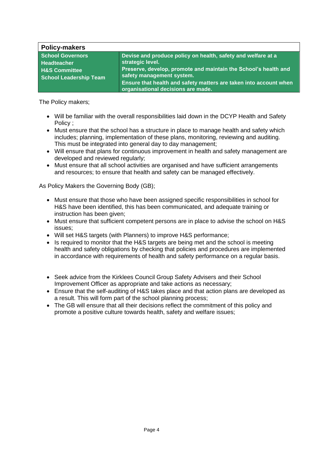| <b>Policy-makers</b>          |                                                                                                         |
|-------------------------------|---------------------------------------------------------------------------------------------------------|
| <b>School Governors</b>       | Devise and produce policy on health, safety and welfare at a                                            |
| <b>Headteacher</b>            | strategic level.                                                                                        |
| <b>H&amp;S Committee</b>      | Preserve, develop, promote and maintain the School's health and                                         |
| <b>School Leadership Team</b> | safety management system.                                                                               |
|                               | Ensure that health and safety matters are taken into account when<br>organisational decisions are made. |

The Policy makers;

- Will be familiar with the overall responsibilities laid down in the DCYP Health and Safety Policy ;
- Must ensure that the school has a structure in place to manage health and safety which includes; planning, implementation of these plans, monitoring, reviewing and auditing. This must be integrated into general day to day management;
- Will ensure that plans for continuous improvement in health and safety management are developed and reviewed regularly;
- Must ensure that all school activities are organised and have sufficient arrangements and resources; to ensure that health and safety can be managed effectively.

As Policy Makers the Governing Body (GB);

- Must ensure that those who have been assigned specific responsibilities in school for H&S have been identified, this has been communicated, and adequate training or instruction has been given;
- Must ensure that sufficient competent persons are in place to advise the school on H&S issues;
- Will set H&S targets (with Planners) to improve H&S performance;
- Is required to monitor that the H&S targets are being met and the school is meeting health and safety obligations by checking that policies and procedures are implemented in accordance with requirements of health and safety performance on a regular basis.
- Seek advice from the Kirklees Council Group Safety Advisers and their School Improvement Officer as appropriate and take actions as necessary;
- Ensure that the self-auditing of H&S takes place and that action plans are developed as a result. This will form part of the school planning process;
- The GB will ensure that all their decisions reflect the commitment of this policy and promote a positive culture towards health, safety and welfare issues;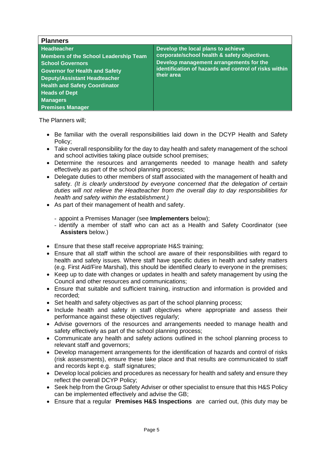| <b>Planners</b>                                                                                                                                                                                                                                                                             |                                                                                                                                                                                                      |
|---------------------------------------------------------------------------------------------------------------------------------------------------------------------------------------------------------------------------------------------------------------------------------------------|------------------------------------------------------------------------------------------------------------------------------------------------------------------------------------------------------|
| <b>Headteacher</b><br><b>Members of the School Leadership Team</b><br><b>School Governors</b><br><b>Governor for Health and Safety</b><br><b>Deputy/Assistant Headteacher</b><br><b>Health and Safety Coordinator</b><br><b>Heads of Dept</b><br><b>Managers</b><br><b>Premises Manager</b> | Develop the local plans to achieve<br>corporate/school health & safety objectives.<br>Develop management arrangements for the<br>identification of hazards and control of risks within<br>their area |

The Planners will;

- Be familiar with the overall responsibilities laid down in the DCYP Health and Safety Policy;
- Take overall responsibility for the day to day health and safety management of the school and school activities taking place outside school premises;
- Determine the resources and arrangements needed to manage health and safety effectively as part of the school planning process;
- Delegate duties to other members of staff associated with the management of health and safety. *(It is clearly understood by everyone concerned that the delegation of certain duties will not relieve the Headteacher from the overall day to day responsibilities for health and safety within the establishment.)*
- As part of their management of health and safety.
	- appoint a Premises Manager (see **Implementers** below);
	- identify a member of staff who can act as a Health and Safety Coordinator (see **Assisters** below.)
- Ensure that these staff receive appropriate H&S training;
- Ensure that all staff within the school are aware of their responsibilities with regard to health and safety issues. Where staff have specific duties in health and safety matters (e.g. First Aid/Fire Marshal), this should be identified clearly to everyone in the premises;
- Keep up to date with changes or updates in health and safety management by using the Council and other resources and communications;
- Ensure that suitable and sufficient training, instruction and information is provided and recorded;
- Set health and safety objectives as part of the school planning process;
- Include health and safety in staff objectives where appropriate and assess their performance against these objectives regularly;
- Advise governors of the resources and arrangements needed to manage health and safety effectively as part of the school planning process;
- Communicate any health and safety actions outlined in the school planning process to relevant staff and governors;
- Develop management arrangements for the identification of hazards and control of risks (risk assessments), ensure these take place and that results are communicated to staff and records kept e.g. staff signatures;
- Develop local policies and procedures as necessary for health and safety and ensure they reflect the overall DCYP Policy;
- Seek help from the Group Safety Adviser or other specialist to ensure that this H&S Policy can be implemented effectively and advise the GB;
- Ensure that a regular **Premises H&S Inspections** are carried out, (this duty may be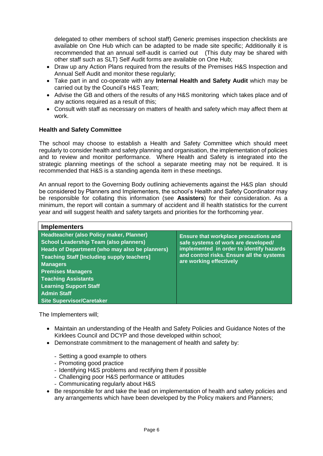delegated to other members of school staff) Generic premises inspection checklists are available on One Hub which can be adapted to be made site specific; Additionally it is recommended that an annual self-audit is carried out (This duty may be shared with other staff such as SLT) Self Audit forms are available on One Hub;

- Draw up any Action Plans required from the results of the Premises H&S Inspection and Annual Self Audit and monitor these regularly;
- Take part in and co-operate with any **Internal Health and Safety Audit** which may be carried out by the Council's H&S Team;
- Advise the GB and others of the results of any H&S monitoring which takes place and of any actions required as a result of this;
- Consult with staff as necessary on matters of health and safety which may affect them at work.

#### **Health and Safety Committee**

The school may choose to establish a Health and Safety Committee which should meet regularly to consider health and safety planning and organisation, the implementation of policies and to review and monitor performance. Where Health and Safety is integrated into the strategic planning meetings of the school a separate meeting may not be required. It is recommended that H&S is a standing agenda item in these meetings.

An annual report to the Governing Body outlining achievements against the H&S plan should be considered by Planners and Implementers, the school's Health and Safety Coordinator may be responsible for collating this information (see **Assisters**) for their consideration. As a minimum, the report will contain a summary of accident and ill health statistics for the current year and will suggest health and safety targets and priorities for the forthcoming year.

| <b>Implementers</b>                                                                                                                                                                                                                                                                                                                                                      |                                                                                                                                                                                                  |
|--------------------------------------------------------------------------------------------------------------------------------------------------------------------------------------------------------------------------------------------------------------------------------------------------------------------------------------------------------------------------|--------------------------------------------------------------------------------------------------------------------------------------------------------------------------------------------------|
| Headteacher (also Policy maker, Planner)<br><b>School Leadership Team (also planners)</b><br>Heads of Department (who may also be planners)<br><b>Teaching Staff [Including supply teachers]</b><br><b>Managers</b><br><b>Premises Managers</b><br><b>Teaching Assistants</b><br><b>Learning Support Staff</b><br><b>Admin Staff</b><br><b>Site Supervisor/Caretaker</b> | Ensure that workplace precautions and<br>safe systems of work are developed/<br>implemented in order to identify hazards<br>and control risks. Ensure all the systems<br>are working effectively |

The Implementers will;

- Maintain an understanding of the Health and Safety Policies and Guidance Notes of the Kirklees Council and DCYP and those developed within school;
- Demonstrate commitment to the management of health and safety by:
	- Setting a good example to others
	- Promoting good practice
	- Identifying H&S problems and rectifying them if possible
	- Challenging poor H&S performance or attitudes
	- Communicating regularly about H&S
- Be responsible for and take the lead on implementation of health and safety policies and any arrangements which have been developed by the Policy makers and Planners;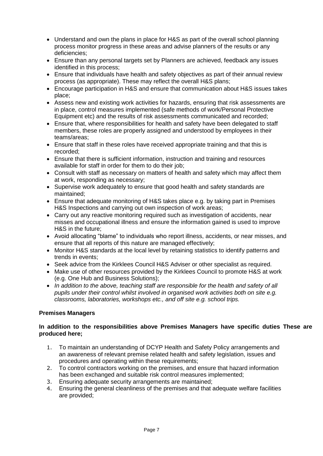- Understand and own the plans in place for H&S as part of the overall school planning process monitor progress in these areas and advise planners of the results or any deficiencies;
- Ensure than any personal targets set by Planners are achieved, feedback any issues identified in this process;
- Ensure that individuals have health and safety objectives as part of their annual review process (as appropriate). These may reflect the overall H&S plans;
- Encourage participation in H&S and ensure that communication about H&S issues takes place;
- Assess new and existing work activities for hazards, ensuring that risk assessments are in place, control measures implemented (safe methods of work/Personal Protective Equipment etc) and the results of risk assessments communicated and recorded;
- Ensure that, where responsibilities for health and safety have been delegated to staff members, these roles are properly assigned and understood by employees in their teams/areas;
- Ensure that staff in these roles have received appropriate training and that this is recorded;
- Ensure that there is sufficient information, instruction and training and resources available for staff in order for them to do their job;
- Consult with staff as necessary on matters of health and safety which may affect them at work, responding as necessary;
- Supervise work adequately to ensure that good health and safety standards are maintained;
- Ensure that adequate monitoring of H&S takes place e.g. by taking part in Premises H&S Inspections and carrying out own inspection of work areas;
- Carry out any reactive monitoring required such as investigation of accidents, near misses and occupational illness and ensure the information gained is used to improve H&S in the future;
- Avoid allocating "blame" to individuals who report illness, accidents, or near misses, and ensure that all reports of this nature are managed effectively;
- Monitor H&S standards at the local level by retaining statistics to identify patterns and trends in events;
- Seek advice from the Kirklees Council H&S Adviser or other specialist as required.
- Make use of other resources provided by the Kirklees Council to promote H&S at work (e.g. One Hub and Business Solutions);
- *In addition to the above, teaching staff are responsible for the health and safety of all pupils under their control whilst involved in organised work activities both on site e.g. classrooms, laboratories, workshops etc., and off site e.g. school trips.*

#### **Premises Managers**

#### **In addition to the responsibilities above Premises Managers have specific duties These are produced here;**

- 1. To maintain an understanding of DCYP Health and Safety Policy arrangements and an awareness of relevant premise related health and safety legislation, issues and procedures and operating within these requirements;
- 2. To control contractors working on the premises, and ensure that hazard information has been exchanged and suitable risk control measures implemented;
- 3. Ensuring adequate security arrangements are maintained;
- 4. Ensuring the general cleanliness of the premises and that adequate welfare facilities are provided;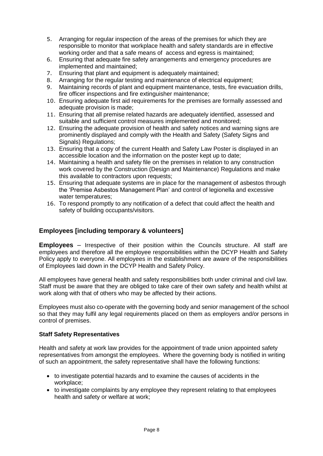- 5. Arranging for regular inspection of the areas of the premises for which they are responsible to monitor that workplace health and safety standards are in effective working order and that a safe means of access and egress is maintained;
- 6. Ensuring that adequate fire safety arrangements and emergency procedures are implemented and maintained;
- 7. Ensuring that plant and equipment is adequately maintained;
- 8. Arranging for the regular testing and maintenance of electrical equipment;
- 9. Maintaining records of plant and equipment maintenance, tests, fire evacuation drills, fire officer inspections and fire extinguisher maintenance;
- 10. Ensuring adequate first aid requirements for the premises are formally assessed and adequate provision is made;
- 11. Ensuring that all premise related hazards are adequately identified, assessed and suitable and sufficient control measures implemented and monitored;
- 12. Ensuring the adequate provision of health and safety notices and warning signs are prominently displayed and comply with the Health and Safety (Safety Signs and Signals) Regulations;
- 13. Ensuring that a copy of the current Health and Safety Law Poster is displayed in an accessible location and the information on the poster kept up to date;
- 14. Maintaining a health and safety file on the premises in relation to any construction work covered by the Construction (Design and Maintenance) Regulations and make this available to contractors upon requests;
- 15. Ensuring that adequate systems are in place for the management of asbestos through the 'Premise Asbestos Management Plan' and control of legionella and excessive water temperatures;
- 16. To respond promptly to any notification of a defect that could affect the health and safety of building occupants/visitors.

#### **Employees [including temporary & volunteers]**

**Employees** – Irrespective of their position within the Councils structure. All staff are employees and therefore all the employee responsibilities within the DCYP Health and Safety Policy apply to everyone. All employees in the establishment are aware of the responsibilities of Employees laid down in the DCYP Health and Safety Policy.

All employees have general health and safety responsibilities both under criminal and civil law. Staff must be aware that they are obliged to take care of their own safety and health whilst at work along with that of others who may be affected by their actions.

Employees must also co-operate with the governing body and senior management of the school so that they may fulfil any legal requirements placed on them as employers and/or persons in control of premises.

#### **Staff Safety Representatives**

Health and safety at work law provides for the appointment of trade union appointed safety representatives from amongst the employees. Where the governing body is notified in writing of such an appointment, the safety representative shall have the following functions:

- to investigate potential hazards and to examine the causes of accidents in the workplace;
- to investigate complaints by any employee they represent relating to that employees health and safety or welfare at work;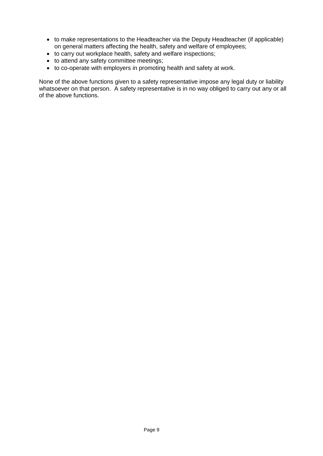- to make representations to the Headteacher via the Deputy Headteacher (if applicable) on general matters affecting the health, safety and welfare of employees;
- to carry out workplace health, safety and welfare inspections;
- to attend any safety committee meetings;
- to co-operate with employers in promoting health and safety at work.

None of the above functions given to a safety representative impose any legal duty or liability whatsoever on that person. A safety representative is in no way obliged to carry out any or all of the above functions.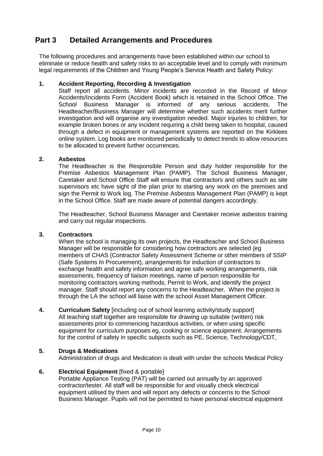## **Part 3 Detailed Arrangements and Procedures**

The following procedures and arrangements have been established within our school to eliminate or reduce health and safety risks to an acceptable level and to comply with minimum legal requirements of the Children and Young People's Service Health and Safety Policy:

#### **1. Accident Reporting, Recording & Investigation**

Staff report all accidents. Minor incidents are recorded in the Record of Minor Accidents/Incidents Form (Accident Book) which is retained in the School Office. The School Business Manager is informed of any serious accidents. The Headteacher/Business Manager will determine whether such accidents merit further investigation and will organise any investigation needed. Major injuries to children, for example broken bones or any incident requiring a child being taken to hospital, caused through a defect in equipment or management systems are reported on the Kirklees online system. Log books are monitored periodically to detect trends to allow resources to be allocated to prevent further occurrences.

#### **2. Asbestos**

The Headteacher is the Responsible Person and duty holder responsible for the Premise Asbestos Management Plan (PAMP). The School Business Manager, Caretaker and School Office Staff will ensure that contractors and others such as site supervisors etc have sight of the plan prior to starting any work on the premises and sign the Permit to Work log. The Premise Asbestos Management Plan (PAMP) is kept in the School Office. Staff are made aware of potential dangers accordingly.

The Headteacher, School Business Manager and Caretaker receive asbestos training and carry out regular inspections.

#### **3. Contractors**

When the school is managing its own projects, the Headteacher and School Business Manager will be responsible for considering how contractors are selected (eg members of CHAS (Contractor Safety Assessment Scheme or other members of SSIP (Safe Systems In Procurement), arrangements for induction of contractors to exchange health and safety information and agree safe working arrangements, risk assessments, frequency of liaison meetings, name of person responsible for monitoring contractors working methods, Permit to Work, and identify the project manager. Staff should report any concerns to the Headteacher. When the project is through the LA the school will liaise with the school Asset Management Officer.

**4. Curriculum Safety** [including out of school learning activity/study support] All teaching staff together are responsible for drawing up suitable (written) risk assessments prior to commencing hazardous activities, or when using specific equipment for curriculum purposes eg, cooking or science equipment. Arrangements for the control of safety in specific subjects such as PE, Science, Technology/CDT,

#### **5. Drugs & Medications**

Administration of drugs and Medication is dealt with under the schools Medical Policy

#### **6. Electrical Equipment** [fixed & portable]

Portable Appliance Testing (PAT) will be carried out annually by an approved contractor/tester. All staff will be responsible for and visually check electrical equipment utilised by them and will report any defects or concerns to the School Business Manager. Pupils will not be permitted to have personal electrical equipment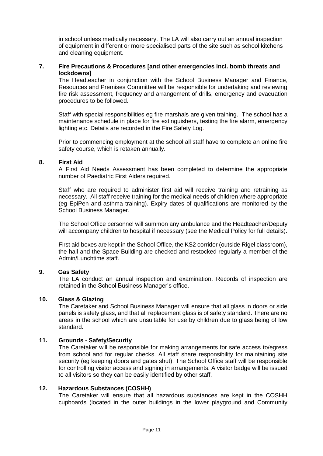in school unless medically necessary. The LA will also carry out an annual inspection of equipment in different or more specialised parts of the site such as school kitchens and cleaning equipment.

#### **7. Fire Precautions & Procedures [and other emergencies incl. bomb threats and lockdowns]**

The Headteacher in conjunction with the School Business Manager and Finance, Resources and Premises Committee will be responsible for undertaking and reviewing fire risk assessment, frequency and arrangement of drills, emergency and evacuation procedures to be followed.

Staff with special responsibilities eg fire marshals are given training. The school has a maintenance schedule in place for fire extinguishers, testing the fire alarm, emergency lighting etc. Details are recorded in the Fire Safety Log.

Prior to commencing employment at the school all staff have to complete an online fire safety course, which is retaken annually.

#### **8. First Aid**

A First Aid Needs Assessment has been completed to determine the appropriate number of Paediatric First Aiders required.

Staff who are required to administer first aid will receive training and retraining as necessary. All staff receive training for the medical needs of children where appropriate (eg EpiPen and asthma training). Expiry dates of qualifications are monitored by the School Business Manager.

The School Office personnel will summon any ambulance and the Headteacher/Deputy will accompany children to hospital if necessary (see the Medical Policy for full details).

First aid boxes are kept in the School Office, the KS2 corridor (outside Rigel classroom), the hall and the Space Building are checked and restocked regularly a member of the Admin/Lunchtime staff.

#### **9. Gas Safety**

The LA conduct an annual inspection and examination. Records of inspection are retained in the School Business Manager's office.

#### **10. Glass & Glazing**

The Caretaker and School Business Manager will ensure that all glass in doors or side panels is safety glass, and that all replacement glass is of safety standard. There are no areas in the school which are unsuitable for use by children due to glass being of low standard.

#### **11. Grounds - Safety/Security**

The Caretaker will be responsible for making arrangements for safe access to/egress from school and for regular checks. All staff share responsibility for maintaining site security (eg keeping doors and gates shut). The School Office staff will be responsible for controlling visitor access and signing in arrangements. A visitor badge will be issued to all visitors so they can be easily identified by other staff.

#### **12. Hazardous Substances (COSHH)**

The Caretaker will ensure that all hazardous substances are kept in the COSHH cupboards (located in the outer buildings in the lower playground and Community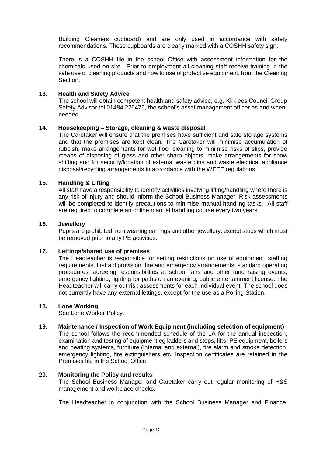Building Cleaners cupboard) and are only used in accordance with safety recommendations. These cupboards are clearly marked with a COSHH safety sign.

There is a COSHH file in the school Office with assessment information for the chemicals used on site. Prior to employment all cleaning staff receive training in the safe use of cleaning products and how to use of protective equipment, from the Cleaning Section.

#### **13. Health and Safety Advice**

The school will obtain competent health and safety advice, e.g. Kirklees Council Group Safety Advisor tel 01484 226475, the school's asset management officer as and when needed.

#### **14. Housekeeping – Storage, cleaning & waste disposal**

The Caretaker will ensure that the premises have sufficient and safe storage systems and that the premises are kept clean. The Caretaker will minimise accumulation of rubbish, make arrangements for wet floor cleaning to minimise risks of slips, provide means of disposing of glass and other sharp objects, make arrangements for snow shifting and for security/location of external waste bins and waste electrical appliance disposal/recycling arrangements in accordance with the WEEE regulations.

#### **15. Handling & Lifting**

All staff have a responsibility to identify activities involving lifting/handling where there is any risk of injury and should inform the School Business Manager. Risk assessments will be completed to identify precautions to minimise manual handling tasks. All staff are required to complete an online manual handling course every two years.

#### **16. Jewellery**

Pupils are prohibited from wearing earrings and other jewellery, except studs which must be removed prior to any PE activities.

#### **17. Lettings/shared use of premises**

The Headteacher is responsible for setting restrictions on use of equipment, staffing requirements, first aid provision, fire and emergency arrangements, standard operating procedures, agreeing responsibilities at school fairs and other fund raising events, emergency lighting, lighting for paths on an evening, public entertainment license. The Headteacher will carry out risk assessments for each individual event. The school does not currently have any external lettings, except for the use as a Polling Station.

#### **18. Lone Working**

See Lone Worker Policy.

#### **19. Maintenance / Inspection of Work Equipment (including selection of equipment)**

The school follows the recommended schedule of the LA for the annual inspection, examination and testing of equipment eg ladders and steps, lifts, PE equipment, boilers and heating systems, furniture (internal and external), fire alarm and smoke detection, emergency lighting, fire extinguishers etc. Inspection certificates are retained in the Premises file in the School Office.

#### **20. Monitoring the Policy and results**

The School Business Manager and Caretaker carry out regular monitoring of H&S management and workplace checks.

The Headteacher in conjunction with the School Business Manager and Finance,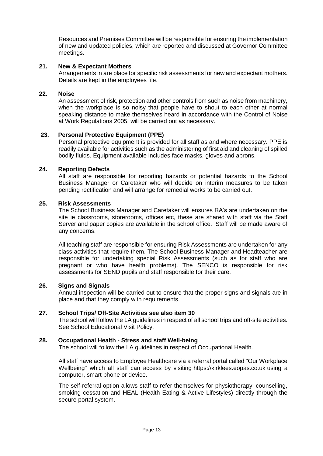Resources and Premises Committee will be responsible for ensuring the implementation of new and updated policies, which are reported and discussed at Governor Committee meetings.

#### **21. New & Expectant Mothers**

Arrangements in are place for specific risk assessments for new and expectant mothers. Details are kept in the employees file.

#### **22. Noise**

An assessment of risk, protection and other controls from such as noise from machinery, when the workplace is so noisy that people have to shout to each other at normal speaking distance to make themselves heard in accordance with the Control of Noise at Work Regulations 2005, will be carried out as necessary.

#### **23. Personal Protective Equipment (PPE)**

Personal protective equipment is provided for all staff as and where necessary. PPE is readily available for activities such as the administering of first aid and cleaning of spilled bodily fluids. Equipment available includes face masks, gloves and aprons.

#### **24. Reporting Defects**

All staff are responsible for reporting hazards or potential hazards to the School Business Manager or Caretaker who will decide on interim measures to be taken pending rectification and will arrange for remedial works to be carried out.

#### **25. Risk Assessments**

The School Business Manager and Caretaker will ensures RA's are undertaken on the site ie classrooms, storerooms, offices etc, these are shared with staff via the Staff Server and paper copies are available in the school office. Staff will be made aware of any concerns.

All teaching staff are responsible for ensuring Risk Assessments are undertaken for any class activities that require them. The School Business Manager and Headteacher are responsible for undertaking special Risk Assessments (such as for staff who are pregnant or who have health problems). The SENCO is responsible for risk assessments for SEND pupils and staff responsible for their care.

#### **26. Signs and Signals**

Annual inspection will be carried out to ensure that the proper signs and signals are in place and that they comply with requirements.

#### **27. School Trips/ Off-Site Activities see also item 30**

The school will follow the LA guidelines in respect of all school trips and off-site activities. See School Educational Visit Policy.

#### **28. Occupational Health - Stress and staff Well-being**

The school will follow the LA guidelines in respect of Occupational Health.

All staff have access to Employee Healthcare via a referral portal called "Our Workplace Wellbeing" which all staff can access by visiting [https://kirklees.eopas.co.uk](https://kirklees.eopas.co.uk/) using a computer, smart phone or device.

The self-referral option allows staff to refer themselves for physiotherapy, counselling, smoking cessation and HEAL (Health Eating & Active Lifestyles) directly through the secure portal system.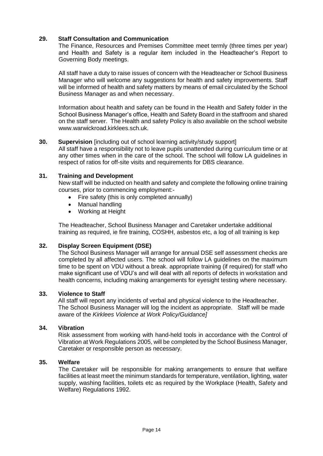#### **29. Staff Consultation and Communication**

The Finance, Resources and Premises Committee meet termly (three times per year) and Health and Safety is a regular item included in the Headteacher's Report to Governing Body meetings.

All staff have a duty to raise issues of concern with the Headteacher or School Business Manager who will welcome any suggestions for health and safety improvements. Staff will be informed of health and safety matters by means of email circulated by the School Business Manager as and when necessary.

Information about health and safety can be found in the Health and Safety folder in the School Business Manager's office, Health and Safety Board in the staffroom and shared on the staff server. The Health and safety Policy is also available on the school website www.warwickroad.kirklees.sch.uk.

#### **30. Supervision** [including out of school learning activity/study support]

All staff have a responsibility not to leave pupils unattended during curriculum time or at any other times when in the care of the school. The school will follow LA guidelines in respect of ratios for off-site visits and requirements for DBS clearance.

#### **31. Training and Development**

New staff will be inducted on health and safety and complete the following online training courses, prior to commencing employment:-

- Fire safety (this is only completed annually)
- Manual handling
- Working at Height

The Headteacher, School Business Manager and Caretaker undertake additional training as required, ie fire training, COSHH, asbestos etc, a log of all training is kep

#### **32. Display Screen Equipment (DSE)**

The School Business Manager will arrange for annual DSE self assessment checks are completed by all affected users. The school will follow LA guidelines on the maximum time to be spent on VDU without a break. appropriate training (if required) for staff who make significant use of VDU's and will deal with all reports of defects in workstation and health concerns, including making arrangements for eyesight testing where necessary.

#### **33. Violence to Staff**

All staff will report any incidents of verbal and physical violence to the Headteacher. The School Business Manager will log the incident as appropriate. Staff will be made aware of the *Kirklees Violence at Work Policy/Guidance]*

#### **34. Vibration**

Risk assessment from working with hand-held tools in accordance with the Control of Vibration at Work Regulations 2005, will be completed by the School Business Manager, Caretaker or responsible person as necessary.

#### **35. Welfare**

The Caretaker will be responsible for making arrangements to ensure that welfare facilities at least meet the minimum standards for temperature, ventilation, lighting, water supply, washing facilities, toilets etc as required by the Workplace (Health, Safety and Welfare) Regulations 1992.